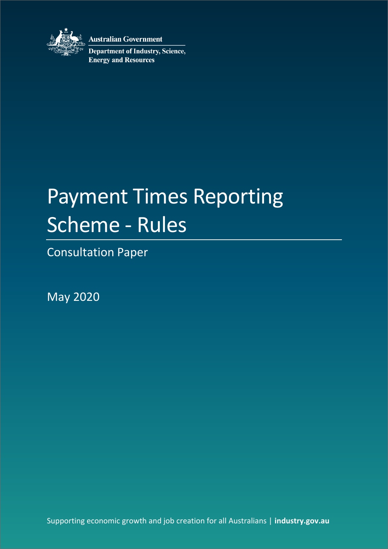

**Australian Government** 

**Department of Industry, Science, Energy and Resources** 

# Payment Times Reporting Scheme - Rules

Consultation Paper

May 2020

Supporting economic growth and job creation for all Australians | **industry.gov.au**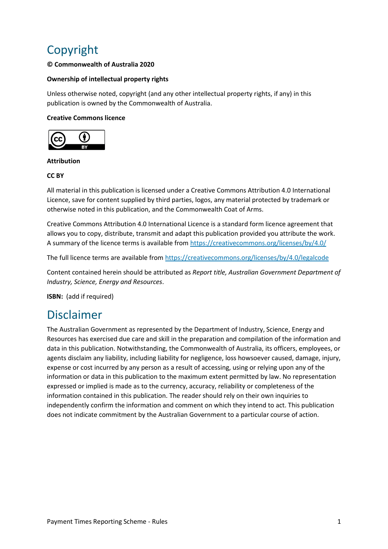## Copyright

#### **© Commonwealth of Australia 2020**

#### **Ownership of intellectual property rights**

Unless otherwise noted, copyright (and any other intellectual property rights, if any) in this publication is owned by the Commonwealth of Australia.

#### **Creative Commons licence**



#### **Attribution**

#### **CC BY**

All material in this publication is licensed under a Creative Commons Attribution 4.0 International Licence, save for content supplied by third parties, logos, any material protected by trademark or otherwise noted in this publication, and the Commonwealth Coat of Arms.

Creative Commons Attribution 4.0 International Licence is a standard form licence agreement that allows you to copy, distribute, transmit and adapt this publication provided you attribute the work. A summary of the licence terms is available from<https://creativecommons.org/licenses/by/4.0/>

The full licence terms are available from<https://creativecommons.org/licenses/by/4.0/legalcode>

Content contained herein should be attributed as *Report title, Australian Government Department of Industry, Science, Energy and Resources*.

**ISBN:** (add if required)

### Disclaimer

The Australian Government as represented by the Department of Industry, Science, Energy and Resources has exercised due care and skill in the preparation and compilation of the information and data in this publication. Notwithstanding, the Commonwealth of Australia, its officers, employees, or agents disclaim any liability, including liability for negligence, loss howsoever caused, damage, injury, expense or cost incurred by any person as a result of accessing, using or relying upon any of the information or data in this publication to the maximum extent permitted by law. No representation expressed or implied is made as to the currency, accuracy, reliability or completeness of the information contained in this publication. The reader should rely on their own inquiries to independently confirm the information and comment on which they intend to act. This publication does not indicate commitment by the Australian Government to a particular course of action.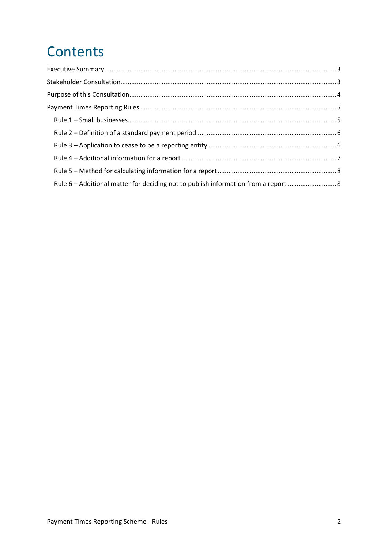## **Contents**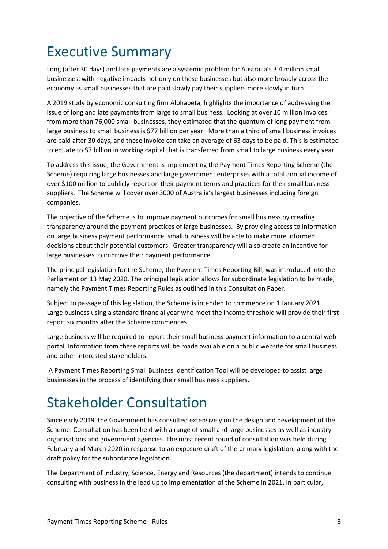## <span id="page-3-0"></span>Executive Summary

Long (after 30 days) and late payments are a systemic problem for Australia's 3.4 million small businesses, with negative impacts not only on these businesses but also more broadly across the economy as small businesses that are paid slowly pay their suppliers more slowly in turn.

A 2019 study by economic consulting firm Alphabeta, highlights the importance of addressing the issue of long and late payments from large to small business. Looking at over 10 million invoices from more than 76,000 small businesses, they estimated that the quantum of long payment from large business to small business is \$77 billion per year. More than a third of small business invoices are paid after 30 days, and these invoice can take an average of 63 days to be paid. This is estimated to equate to \$7 billion in working capital that is transferred from small to large business every year.

To address this issue, the Government is implementing the Payment Times Reporting Scheme (the Scheme) requiring large businesses and large government enterprises with a total annual income of over \$100 million to publicly report on their payment terms and practices for their small business suppliers. The Scheme will cover over 3000 of Australia's largest businesses including foreign companies.

The objective of the Scheme is to improve payment outcomes for small business by creating transparency around the payment practices of large businesses. By providing access to information on large business payment performance, small business will be able to make more informed decisions about their potential customers. Greater transparency will also create an incentive for large businesses to improve their payment performance.

The principal legislation for the Scheme, the Payment Times Reporting Bill, was introduced into the Parliament on 13 May 2020. The principal legislation allows for subordinate legislation to be made, namely the Payment Times Reporting Rules as outlined in this Consultation Paper.

Subject to passage of this legislation, the Scheme is intended to commence on 1 January 2021. Large business using a standard financial year who meet the income threshold will provide their first report six months after the Scheme commences.

Large business will be required to report their small business payment information to a central web portal. Information from these reports will be made available on a public website for small business and other interested stakeholders.

A Payment Times Reporting Small Business Identification Tool will be developed to assist large businesses in the process of identifying their small business suppliers.

## <span id="page-3-1"></span>Stakeholder Consultation

Since early 2019, the Government has consulted extensively on the design and development of the Scheme. Consultation has been held with a range of small and large businesses as well as industry organisations and government agencies. The most recent round of consultation was held during February and March 2020 in response to an exposure draft of the primary legislation, along with the draft policy for the subordinate legislation.

The Department of Industry, Science, Energy and Resources (the department) intends to continue consulting with business in the lead up to implementation of the Scheme in 2021. In particular,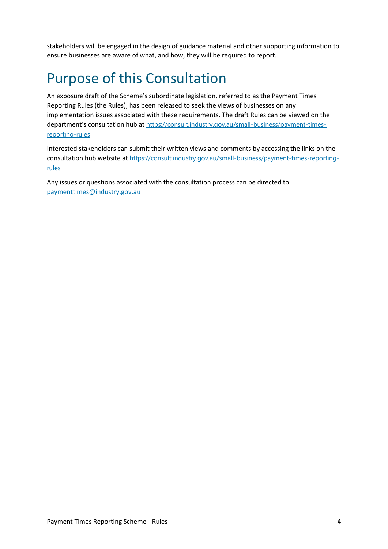stakeholders will be engaged in the design of guidance material and other supporting information to ensure businesses are aware of what, and how, they will be required to report.

## <span id="page-4-0"></span>Purpose of this Consultation

An exposure draft of the Scheme's subordinate legislation, referred to as the Payment Times Reporting Rules (the Rules), has been released to seek the views of businesses on any implementation issues associated with these requirements. The draft Rules can be viewed on the department's consultation hub at [https://consult.industry.gov.au/small-business/payment-times](https://consult.industry.gov.au/small-business/payment-times-reporting-rules)[reporting-rules](https://consult.industry.gov.au/small-business/payment-times-reporting-rules)

Interested stakeholders can submit their written views and comments by accessing the links on the consultation hub website at [https://consult.industry.gov.au/small-business/payment-times-reporting](https://consult.industry.gov.au/small-business/payment-times-reporting-rules)[rules](https://consult.industry.gov.au/small-business/payment-times-reporting-rules)

Any issues or questions associated with the consultation process can be directed to [paymenttimes@industry.gov.au](mailto:paymenttimes@industry.gov.au)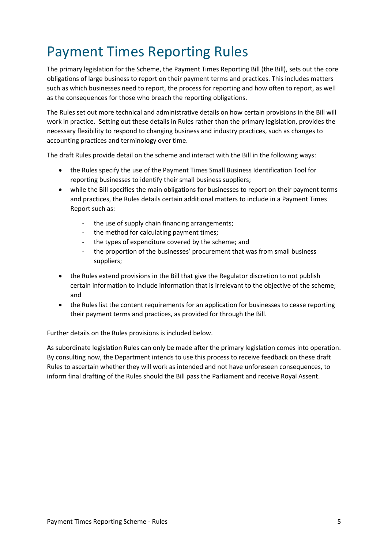## <span id="page-5-0"></span>Payment Times Reporting Rules

<span id="page-5-1"></span>The primary legislation for the Scheme, the Payment Times Reporting Bill (the Bill), sets out the core obligations of large business to report on their payment terms and practices. This includes matters such as which businesses need to report, the process for reporting and how often to report, as well as the consequences for those who breach the reporting obligations.

The Rules set out more technical and administrative details on how certain provisions in the Bill will work in practice. Setting out these details in Rules rather than the primary legislation, provides the necessary flexibility to respond to changing business and industry practices, such as changes to accounting practices and terminology over time.

The draft Rules provide detail on the scheme and interact with the Bill in the following ways:

- the Rules specify the use of the Payment Times Small Business Identification Tool for reporting businesses to identify their small business suppliers;
- while the Bill specifies the main obligations for businesses to report on their payment terms and practices, the Rules details certain additional matters to include in a Payment Times Report such as:
	- the use of supply chain financing arrangements;
	- the method for calculating payment times;
	- the types of expenditure covered by the scheme; and
	- the proportion of the businesses' procurement that was from small business suppliers;
- the Rules extend provisions in the Bill that give the Regulator discretion to not publish certain information to include information that is irrelevant to the objective of the scheme; and
- the Rules list the content requirements for an application for businesses to cease reporting their payment terms and practices, as provided for through the Bill.

Further details on the Rules provisions is included below.

As subordinate legislation Rules can only be made after the primary legislation comes into operation. By consulting now, the Department intends to use this process to receive feedback on these draft Rules to ascertain whether they will work as intended and not have unforeseen consequences, to inform final drafting of the Rules should the Bill pass the Parliament and receive Royal Assent.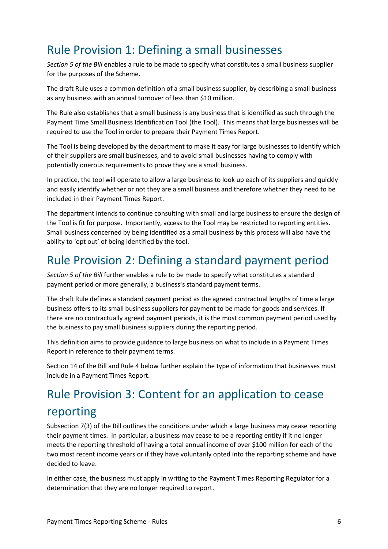### Rule Provision 1: Defining a small businesses

*Section 5 of the Bill* enables a rule to be made to specify what constitutes a small business supplier for the purposes of the Scheme.

<span id="page-6-0"></span>The draft Rule uses a common definition of a small business supplier, by describing a small business as any business with an annual turnover of less than \$10 million.

The Rule also establishes that a small business is any business that is identified as such through the Payment Time Small Business Identification Tool (the Tool). This means that large businesses will be required to use the Tool in order to prepare their Payment Times Report.

The Tool is being developed by the department to make it easy for large businesses to identify which of their suppliers are small businesses, and to avoid small businesses having to comply with potentially onerous requirements to prove they are a small business.

In practice, the tool will operate to allow a large business to look up each of its suppliers and quickly and easily identify whether or not they are a small business and therefore whether they need to be included in their Payment Times Report.

The department intends to continue consulting with small and large business to ensure the design of the Tool is fit for purpose. Importantly, access to the Tool may be restricted to reporting entities. Small business concerned by being identified as a small business by this process will also have the ability to 'opt out' of being identified by the tool.

### Rule Provision 2: Defining a standard payment period

*Section 5 of the Bill* further enables a rule to be made to specify what constitutes a standard payment period or more generally, a business's standard payment terms.

The draft Rule defines a standard payment period as the agreed contractual lengths of time a large business offers to its small business suppliers for payment to be made for goods and services. If there are no contractually agreed payment periods, it is the most common payment period used by the business to pay small business suppliers during the reporting period.

This definition aims to provide guidance to large business on what to include in a Payment Times Report in reference to their payment terms.

Section 14 of the Bill and Rule 4 below further explain the type of information that businesses must include in a Payment Times Report.

## <span id="page-6-1"></span>Rule Provision 3: Content for an application to cease reporting

Subsection 7(3) of the Bill outlines the conditions under which a large business may cease reporting their payment times. In particular, a business may cease to be a reporting entity if it no longer meets the reporting threshold of having a total annual income of over \$100 million for each of the two most recent income years or if they have voluntarily opted into the reporting scheme and have decided to leave.

In either case, the business must apply in writing to the Payment Times Reporting Regulator for a determination that they are no longer required to report.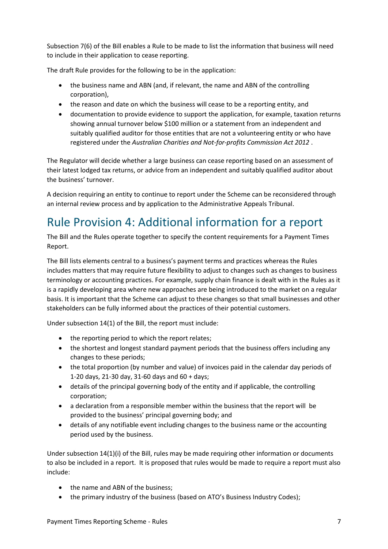Subsection 7(6) of the Bill enables a Rule to be made to list the information that business will need to include in their application to cease reporting.

The draft Rule provides for the following to be in the application:

- the business name and ABN (and, if relevant, the name and ABN of the controlling corporation),
- the reason and date on which the business will cease to be a reporting entity, and
- documentation to provide evidence to support the application, for example, taxation returns showing annual turnover below \$100 million or a statement from an independent and suitably qualified auditor for those entities that are not a volunteering entity or who have registered under the *Australian Charities and Not-for-profits Commission Act 2012* .

The Regulator will decide whether a large business can cease reporting based on an assessment of their latest lodged tax returns, or advice from an independent and suitably qualified auditor about the business' turnover.

A decision requiring an entity to continue to report under the Scheme can be reconsidered through an internal review process and by application to the Administrative Appeals Tribunal.

### <span id="page-7-0"></span>Rule Provision 4: Additional information for a report

The Bill and the Rules operate together to specify the content requirements for a Payment Times Report.

The Bill lists elements central to a business's payment terms and practices whereas the Rules includes matters that may require future flexibility to adjust to changes such as changes to business terminology or accounting practices. For example, supply chain finance is dealt with in the Rules as it is a rapidly developing area where new approaches are being introduced to the market on a regular basis. It is important that the Scheme can adjust to these changes so that small businesses and other stakeholders can be fully informed about the practices of their potential customers.

Under subsection 14(1) of the Bill, the report must include:

- the reporting period to which the report relates;
- the shortest and longest standard payment periods that the business offers including any changes to these periods;
- the total proportion (by number and value) of invoices paid in the calendar day periods of 1-20 days, 21-30 day, 31-60 days and 60 + days;
- details of the principal governing body of the entity and if applicable, the controlling corporation;
- a declaration from a responsible member within the business that the report will be provided to the business' principal governing body; and
- details of any notifiable event including changes to the business name or the accounting period used by the business.

Under subsection 14(1)(i) of the Bill, rules may be made requiring other information or documents to also be included in a report. It is proposed that rules would be made to require a report must also include:

- the name and ABN of the business;
- the primary industry of the business (based on ATO's Business Industry Codes);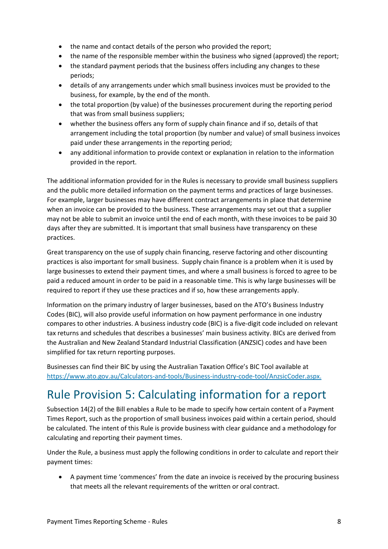- the name and contact details of the person who provided the report;
- the name of the responsible member within the business who signed (approved) the report;
- the standard payment periods that the business offers including any changes to these periods;
- details of any arrangements under which small business invoices must be provided to the business, for example, by the end of the month.
- the total proportion (by value) of the businesses procurement during the reporting period that was from small business suppliers;
- whether the business offers any form of supply chain finance and if so, details of that arrangement including the total proportion (by number and value) of small business invoices paid under these arrangements in the reporting period;
- any additional information to provide context or explanation in relation to the information provided in the report.

The additional information provided for in the Rules is necessary to provide small business suppliers and the public more detailed information on the payment terms and practices of large businesses. For example, larger businesses may have different contract arrangements in place that determine when an invoice can be provided to the business. These arrangements may set out that a supplier may not be able to submit an invoice until the end of each month, with these invoices to be paid 30 days after they are submitted. It is important that small business have transparency on these practices.

Great transparency on the use of supply chain financing, reserve factoring and other discounting practices is also important for small business. Supply chain finance is a problem when it is used by large businesses to extend their payment times, and where a small business is forced to agree to be paid a reduced amount in order to be paid in a reasonable time. This is why large businesses will be required to report if they use these practices and if so, how these arrangements apply.

Information on the primary industry of larger businesses, based on the ATO's Business Industry Codes (BIC), will also provide useful information on how payment performance in one industry compares to other industries. A business industry code (BIC) is a five-digit code included on relevant tax returns and schedules that describes a businesses' main business activity. BICs are derived from the Australian and New Zealand Standard Industrial Classification (ANZSIC) codes and have been simplified for tax return reporting purposes.

Businesses can find their BIC by using the Australian Taxation Office's BIC Tool available at [https://www.ato.gov.au/Calculators-and-tools/Business-industry-code-tool/AnzsicCoder.aspx.](https://www.ato.gov.au/Calculators-and-tools/Business-industry-code-tool/AnzsicCoder.aspx)

### <span id="page-8-0"></span>Rule Provision 5: Calculating information for a report

<span id="page-8-1"></span>Subsection 14(2) of the Bill enables a Rule to be made to specify how certain content of a Payment Times Report, such as the proportion of small business invoices paid within a certain period, should be calculated. The intent of this Rule is provide business with clear guidance and a methodology for calculating and reporting their payment times.

Under the Rule, a business must apply the following conditions in order to calculate and report their payment times:

 A payment time 'commences' from the date an invoice is received by the procuring business that meets all the relevant requirements of the written or oral contract.